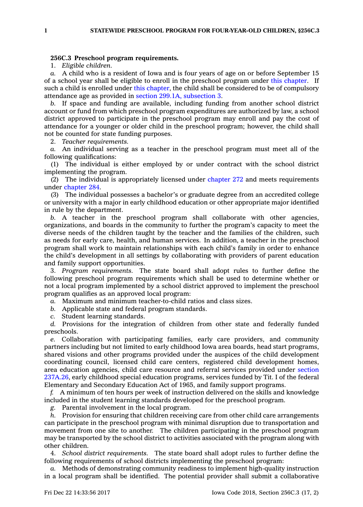## **256C.3 Preschool program requirements.**

1. *Eligible children.*

*a.* A child who is <sup>a</sup> resident of Iowa and is four years of age on or before September 15 of <sup>a</sup> school year shall be eligible to enroll in the preschool program under this [chapter](https://www.legis.iowa.gov/docs/code//256C.pdf). If such a child is enrolled under this [chapter](https://www.legis.iowa.gov/docs/code//256C.pdf), the child shall be considered to be of compulsory attendance age as provided in section 299.1A, [subsection](https://www.legis.iowa.gov/docs/code/299.1A.pdf) 3.

*b.* If space and funding are available, including funding from another school district account or fund from which preschool program expenditures are authorized by law, <sup>a</sup> school district approved to participate in the preschool program may enroll and pay the cost of attendance for <sup>a</sup> younger or older child in the preschool program; however, the child shall not be counted for state funding purposes.

2. *Teacher requirements.*

*a.* An individual serving as <sup>a</sup> teacher in the preschool program must meet all of the following qualifications:

(1) The individual is either employed by or under contract with the school district implementing the program.

(2) The individual is appropriately licensed under [chapter](https://www.legis.iowa.gov/docs/code//272.pdf) 272 and meets requirements under [chapter](https://www.legis.iowa.gov/docs/code//284.pdf) 284.

(3) The individual possesses <sup>a</sup> bachelor's or graduate degree from an accredited college or university with <sup>a</sup> major in early childhood education or other appropriate major identified in rule by the department.

*b.* A teacher in the preschool program shall collaborate with other agencies, organizations, and boards in the community to further the program's capacity to meet the diverse needs of the children taught by the teacher and the families of the children, such as needs for early care, health, and human services. In addition, <sup>a</sup> teacher in the preschool program shall work to maintain relationships with each child's family in order to enhance the child's development in all settings by collaborating with providers of parent education and family support opportunities.

3. *Program requirements.* The state board shall adopt rules to further define the following preschool program requirements which shall be used to determine whether or not <sup>a</sup> local program implemented by <sup>a</sup> school district approved to implement the preschool program qualifies as an approved local program:

*a.* Maximum and minimum teacher-to-child ratios and class sizes.

*b.* Applicable state and federal program standards.

*c.* Student learning standards.

*d.* Provisions for the integration of children from other state and federally funded preschools.

*e.* Collaboration with participating families, early care providers, and community partners including but not limited to early childhood Iowa area boards, head start programs, shared visions and other programs provided under the auspices of the child development coordinating council, licensed child care centers, registered child development homes, area education agencies, child care resource and referral services provided under [section](https://www.legis.iowa.gov/docs/code/237A.26.pdf) [237A.26](https://www.legis.iowa.gov/docs/code/237A.26.pdf), early childhood special education programs, services funded by Tit. I of the federal Elementary and Secondary Education Act of 1965, and family support programs.

*f.* A minimum of ten hours per week of instruction delivered on the skills and knowledge included in the student learning standards developed for the preschool program.

*g.* Parental involvement in the local program.

*h.* Provision for ensuring that children receiving care from other child care arrangements can participate in the preschool program with minimal disruption due to transportation and movement from one site to another. The children participating in the preschool program may be transported by the school district to activities associated with the program along with other children.

4. *School district requirements.* The state board shall adopt rules to further define the following requirements of school districts implementing the preschool program:

*a.* Methods of demonstrating community readiness to implement high-quality instruction in <sup>a</sup> local program shall be identified. The potential provider shall submit <sup>a</sup> collaborative